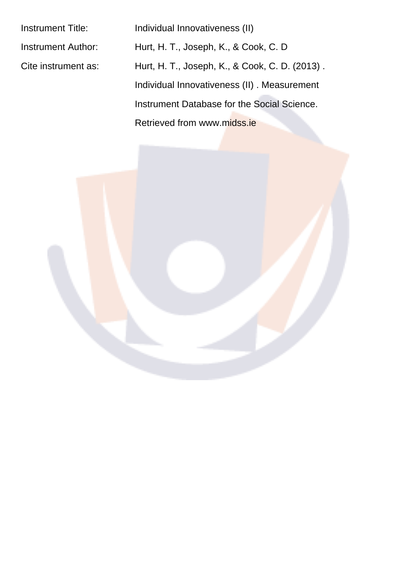Instrument Title: Individual Innovativeness (II)

Instrument Author: Hurt, H. T., Joseph, K., & Cook, C. D Cite instrument as: Hurt, H. T., Joseph, K., & Cook, C. D. (2013). Individual Innovativeness (II) . Measurement Instrument Database for the Social Science. Retrieved from www.midss.ie

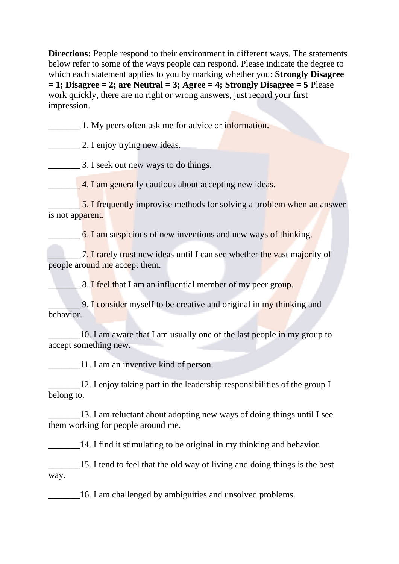**Directions:** People respond to their environment in different ways. The statements below refer to some of the ways people can respond. Please indicate the degree to which each statement applies to you by marking whether you: **Strongly Disagree**  $= 1$ ; Disagree = 2; are Neutral = 3; Agree = 4; Strongly Disagree = 5 Please work quickly, there are no right or wrong answers, just record your first impression.

1. My peers often ask me for advice or information.

2. I enjoy trying new ideas.

3. I seek out new ways to do things.

4. I am generally cautious about accepting new ideas.

5. I frequently improvise methods for solving a problem when an answer is not apparent.

6. I am suspicious of new inventions and new ways of thinking.

7. I rarely trust new ideas until I can see whether the vast majority of people around me accept them.

8. I feel that I am an influential member of my peer group.

9. I consider myself to be creative and original in my thinking and behavior.

10. I am aware that I am usually one of the last people in my group to accept something new.

11. I am an inventive kind of person.

12. I enjoy taking part in the leadership responsibilities of the group I belong to.

13. I am reluctant about adopting new ways of doing things until I see them working for people around me.

14. I find it stimulating to be original in my thinking and behavior.

15. I tend to feel that the old way of living and doing things is the best way.

16. I am challenged by ambiguities and unsolved problems.